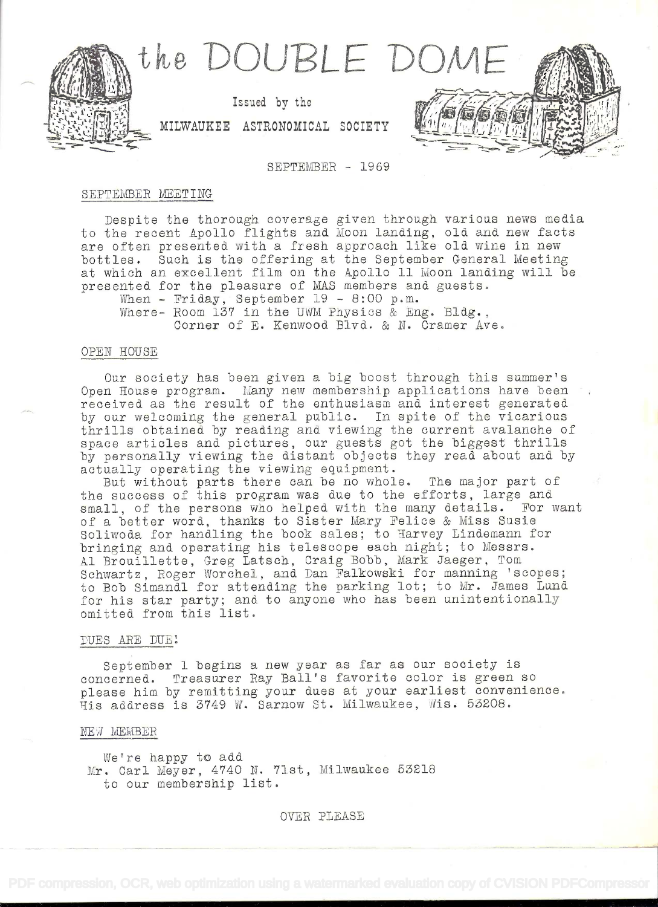

## SEPTEMBER - 1969

# SEPTEMBER MEETING

Despite the thorough coverage given through various news media to the recent Apollo flights and Moon landing, old and new facts are often presented with a fresh approach like old wine in new bottles. Such is the offering at the September General Meeting at which an excellent film on the Apollo 11 Moon landing will be presented for the pleasure of MAS members and guests.

When - Friday, September 19 - 8:00 p.m.

Where- Room 137 in the UWM Physics & Eng. Bldg., Corner of E. Kenwood Blvd. & N. Cramer Ave.

## OPEN HOUSE

Our society has been given a big boost through this summer's Open House program. Many new membership applications have been received as the result of the enthusiasm and interest generated by our welcoming the general public. In spite of the vicarious thrills obtained by reading and viewing the current avalanche of space articles and pictures, our guests got the biggest thrills by personally viewing the distant objects they read about and by actually operating the viewing equipment.

But without parts there can be no whole. The major part of the success of this program was due to the efforts, large and small, of the persons who helped with the many details. For want of a better word, thanks to Sister Mary Felice & Miss Susie Soliwoda for handling the book sales; to Harvey Lindemann for bringing and operating his telescope each night; to Messrs. Al Brouillette, Greg Latsch, Craig Bobb, Mark Jaeger, Tom Schwartz, Roger Worchel, and Dan Falkowski for manning 'scopes; to Bob Simandl for attending the parking lot; to Mr. James Lund for his star party; and to anyone who has been unintentionally omitted from this list.

# DUES ARE DUEL

September 1 begins a new year as far as our society is concerned. Treasurer Ray Ball's favorite color is green so please him by remitting your dues at your earliest convenience. His address is 3749 W. Sarnow St. Milwaukee, Wis. 53208.

#### NEW MEMBER

WeTre happy to add Mr. Carl Meyer, 4740 N. '71st, Milwaukee 53218 to our membership list.